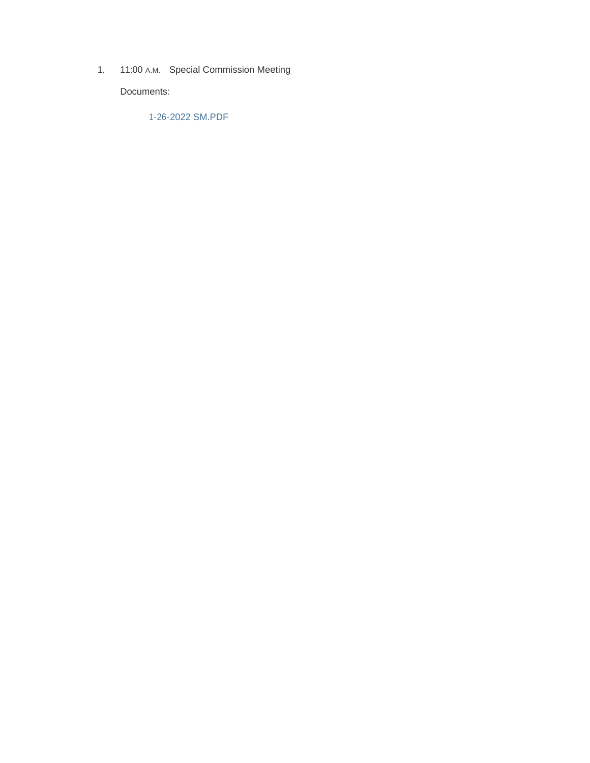1. 11:00 A.M. Special Commission Meeting

Documents:

1-26-2022 SM.PDF